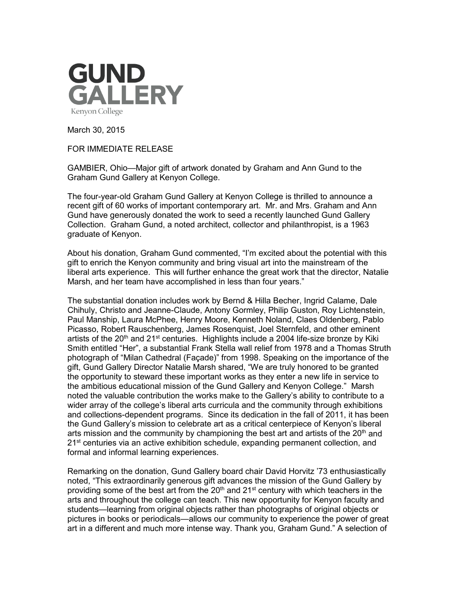

March 30, 2015

FOR IMMEDIATE RELEASE

GAMBIER, Ohio—Major gift of artwork donated by Graham and Ann Gund to the Graham Gund Gallery at Kenyon College.

The four-year-old Graham Gund Gallery at Kenyon College is thrilled to announce a recent gift of 60 works of important contemporary art. Mr. and Mrs. Graham and Ann Gund have generously donated the work to seed a recently launched Gund Gallery Collection. Graham Gund, a noted architect, collector and philanthropist, is a 1963 graduate of Kenyon.

About his donation, Graham Gund commented, "I'm excited about the potential with this gift to enrich the Kenyon community and bring visual art into the mainstream of the liberal arts experience. This will further enhance the great work that the director, Natalie Marsh, and her team have accomplished in less than four years."

The substantial donation includes work by Bernd & Hilla Becher, Ingrid Calame, Dale Chihuly, Christo and Jeanne-Claude, Antony Gormley, Philip Guston, Roy Lichtenstein, Paul Manship, Laura McPhee, Henry Moore, Kenneth Noland, Claes Oldenberg, Pablo Picasso, Robert Rauschenberg, James Rosenquist, Joel Sternfeld, and other eminent artists of the  $20<sup>th</sup>$  and  $21<sup>st</sup>$  centuries. Highlights include a 2004 life-size bronze by Kiki Smith entitled "Her", a substantial Frank Stella wall relief from 1978 and a Thomas Struth photograph of "Milan Cathedral (Façade)" from 1998. Speaking on the importance of the gift, Gund Gallery Director Natalie Marsh shared, "We are truly honored to be granted the opportunity to steward these important works as they enter a new life in service to the ambitious educational mission of the Gund Gallery and Kenyon College." Marsh noted the valuable contribution the works make to the Gallery's ability to contribute to a wider array of the college's liberal arts curricula and the community through exhibitions and collections-dependent programs. Since its dedication in the fall of 2011, it has been the Gund Gallery's mission to celebrate art as a critical centerpiece of Kenyon's liberal arts mission and the community by championing the best art and artists of the  $20<sup>th</sup>$  and  $21<sup>st</sup>$  centuries via an active exhibition schedule, expanding permanent collection, and formal and informal learning experiences.

Remarking on the donation, Gund Gallery board chair David Horvitz '73 enthusiastically noted, "This extraordinarily generous gift advances the mission of the Gund Gallery by providing some of the best art from the  $20<sup>th</sup>$  and  $21<sup>st</sup>$  century with which teachers in the arts and throughout the college can teach. This new opportunity for Kenyon faculty and students—learning from original objects rather than photographs of original objects or pictures in books or periodicals—allows our community to experience the power of great art in a different and much more intense way. Thank you, Graham Gund." A selection of